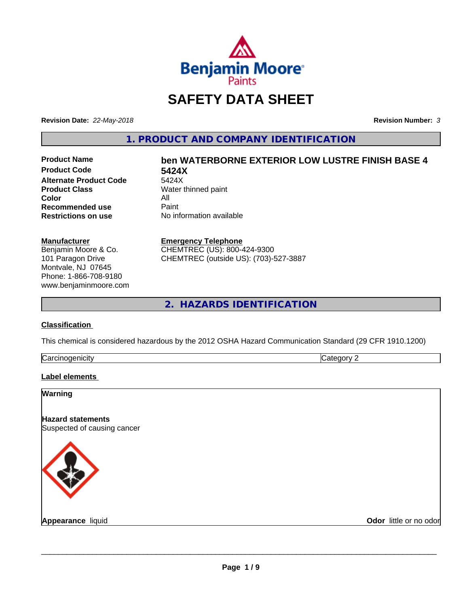

## **SAFETY DATA SHEET**

**Revision Date:** *22-May-2018* **Revision Number:** *3*

**1. PRODUCT AND COMPANY IDENTIFICATION**

**Product Code 5424X Alternate Product Code**<br>Product Class **Color** All<br> **Recommended use** Paint **Recommended use**<br>Restrictions on use

# **Product Name ben WATERBORNE EXTERIOR LOW LUSTRE FINISH BASE 4**

**Water thinned paint No information available** 

#### **Manufacturer**

Benjamin Moore & Co. 101 Paragon Drive Montvale, NJ 07645 Phone: 1-866-708-9180 www.benjaminmoore.com

#### **Emergency Telephone**

CHEMTREC (US): 800-424-9300 CHEMTREC (outside US): (703)-527-3887

**2. HAZARDS IDENTIFICATION**

#### **Classification**

This chemical is considered hazardous by the 2012 OSHA Hazard Communication Standard (29 CFR 1910.1200)

| ∽<br>- - -<br>----<br>.<br>ruard<br>ш<br>. .<br>___ | ш |
|-----------------------------------------------------|---|
|                                                     |   |

#### **Label elements**

| <b>Warning</b>                                          |                        |
|---------------------------------------------------------|------------------------|
| <b>Hazard statements</b><br>Suspected of causing cancer |                        |
|                                                         |                        |
| <b>Appearance liquid</b>                                | Odor little or no odor |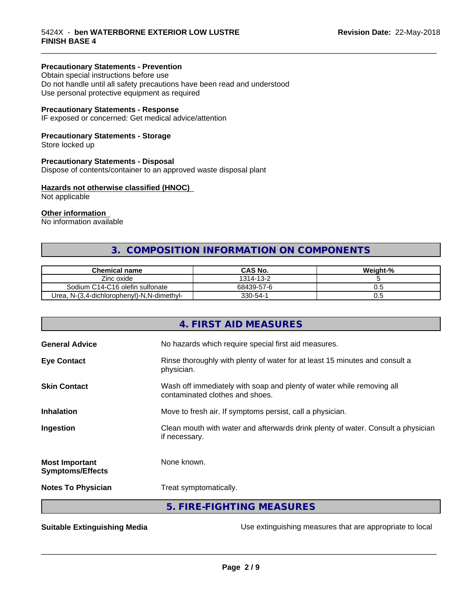#### **Precautionary Statements - Prevention**

Obtain special instructions before use Do not handle until all safety precautions have been read and understood Use personal protective equipment as required

#### **Precautionary Statements - Response**

IF exposed or concerned: Get medical advice/attention

#### **Precautionary Statements - Storage**

Store locked up

#### **Precautionary Statements - Disposal**

Dispose of contents/container to an approved waste disposal plant

#### **Hazards not otherwise classified (HNOC)**

Not applicable

#### **Other information**

No information available

## **3. COMPOSITION INFORMATION ON COMPONENTS**

\_\_\_\_\_\_\_\_\_\_\_\_\_\_\_\_\_\_\_\_\_\_\_\_\_\_\_\_\_\_\_\_\_\_\_\_\_\_\_\_\_\_\_\_\_\_\_\_\_\_\_\_\_\_\_\_\_\_\_\_\_\_\_\_\_\_\_\_\_\_\_\_\_\_\_\_\_\_\_\_\_\_\_\_\_\_\_\_\_\_\_\_\_

| <b>Chemical name</b>                            | CAS No.    | Weight-% |
|-------------------------------------------------|------------|----------|
| Zinc oxide                                      | 1314-13-2  |          |
| Sodium C14-C16 olefin sulfonate                 | 68439-57-6 | v.J      |
| Urea.<br>. N-(3.4-dichlorophenyl)-N.N-dimethyl- | 330-54-1   | v.J      |

|                                                  | 4. FIRST AID MEASURES                                                                                    |
|--------------------------------------------------|----------------------------------------------------------------------------------------------------------|
| <b>General Advice</b>                            | No hazards which require special first aid measures.                                                     |
| <b>Eye Contact</b>                               | Rinse thoroughly with plenty of water for at least 15 minutes and consult a<br>physician.                |
| <b>Skin Contact</b>                              | Wash off immediately with soap and plenty of water while removing all<br>contaminated clothes and shoes. |
| <b>Inhalation</b>                                | Move to fresh air. If symptoms persist, call a physician.                                                |
| Ingestion                                        | Clean mouth with water and afterwards drink plenty of water. Consult a physician<br>if necessary.        |
| <b>Most Important</b><br><b>Symptoms/Effects</b> | None known.                                                                                              |
| <b>Notes To Physician</b>                        | Treat symptomatically.                                                                                   |
|                                                  | 5. FIRE-FIGHTING MEASURES                                                                                |

**Suitable Extinguishing Media** Media Use extinguishing measures that are appropriate to local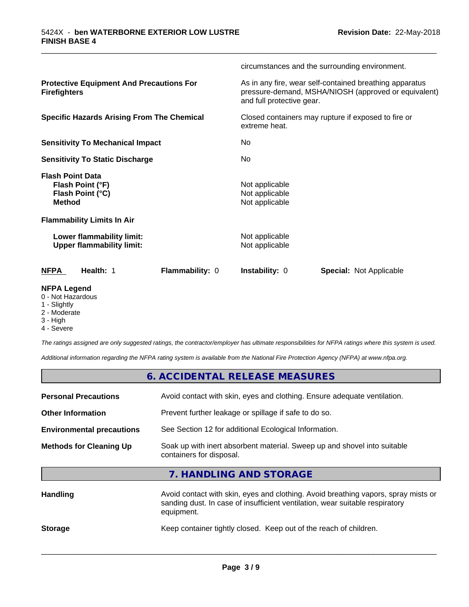| <b>NFPA Legend</b>                                                               |                 |                                                    |                                                                                                                 |
|----------------------------------------------------------------------------------|-----------------|----------------------------------------------------|-----------------------------------------------------------------------------------------------------------------|
| <b>NFPA</b><br>Health: 1                                                         | Flammability: 0 | <b>Instability: 0</b>                              | <b>Special: Not Applicable</b>                                                                                  |
| Lower flammability limit:<br><b>Upper flammability limit:</b>                    |                 | Not applicable<br>Not applicable                   |                                                                                                                 |
| <b>Flammability Limits In Air</b>                                                |                 |                                                    |                                                                                                                 |
| <b>Flash Point Data</b><br>Flash Point (°F)<br>Flash Point (°C)<br><b>Method</b> |                 | Not applicable<br>Not applicable<br>Not applicable |                                                                                                                 |
| <b>Sensitivity To Static Discharge</b>                                           |                 | No                                                 |                                                                                                                 |
| <b>Sensitivity To Mechanical Impact</b>                                          |                 | No                                                 |                                                                                                                 |
| <b>Specific Hazards Arising From The Chemical</b>                                |                 | extreme heat.                                      | Closed containers may rupture if exposed to fire or                                                             |
| <b>Protective Equipment And Precautions For</b><br><b>Firefighters</b>           |                 | and full protective gear.                          | As in any fire, wear self-contained breathing apparatus<br>pressure-demand, MSHA/NIOSH (approved or equivalent) |
|                                                                                  |                 |                                                    | circumstances and the surrounding environment.                                                                  |

\_\_\_\_\_\_\_\_\_\_\_\_\_\_\_\_\_\_\_\_\_\_\_\_\_\_\_\_\_\_\_\_\_\_\_\_\_\_\_\_\_\_\_\_\_\_\_\_\_\_\_\_\_\_\_\_\_\_\_\_\_\_\_\_\_\_\_\_\_\_\_\_\_\_\_\_\_\_\_\_\_\_\_\_\_\_\_\_\_\_\_\_\_

- 0 Not Hazardous
- 1 Slightly
- 2 Moderate
- 3 High

г

4 - Severe

*The ratings assigned are only suggested ratings, the contractor/employer has ultimate responsibilities for NFPA ratings where this system is used.*

*Additional information regarding the NFPA rating system is available from the National Fire Protection Agency (NFPA) at www.nfpa.org.*

| 6. ACCIDENTAL RELEASE MEASURES                                                                                                                                                   |
|----------------------------------------------------------------------------------------------------------------------------------------------------------------------------------|
| Avoid contact with skin, eyes and clothing. Ensure adequate ventilation.                                                                                                         |
| Prevent further leakage or spillage if safe to do so.                                                                                                                            |
| See Section 12 for additional Ecological Information.                                                                                                                            |
| Soak up with inert absorbent material. Sweep up and shovel into suitable<br>containers for disposal.                                                                             |
| 7. HANDLING AND STORAGE                                                                                                                                                          |
| Avoid contact with skin, eyes and clothing. Avoid breathing vapors, spray mists or<br>sanding dust. In case of insufficient ventilation, wear suitable respiratory<br>equipment. |
|                                                                                                                                                                                  |

**Storage** Keep container tightly closed. Keep out of the reach of children.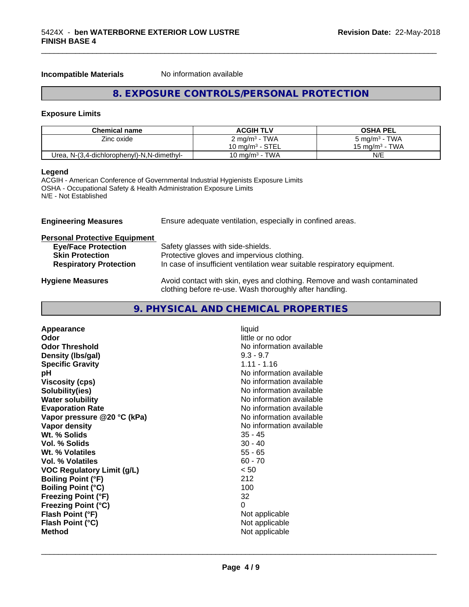**Incompatible Materials** No information available

## **8. EXPOSURE CONTROLS/PERSONAL PROTECTION**

\_\_\_\_\_\_\_\_\_\_\_\_\_\_\_\_\_\_\_\_\_\_\_\_\_\_\_\_\_\_\_\_\_\_\_\_\_\_\_\_\_\_\_\_\_\_\_\_\_\_\_\_\_\_\_\_\_\_\_\_\_\_\_\_\_\_\_\_\_\_\_\_\_\_\_\_\_\_\_\_\_\_\_\_\_\_\_\_\_\_\_\_\_

#### **Exposure Limits**

| <b>Chemical name</b>                       | <b>ACGIH TLV</b>          | <b>OSHA PEL</b>          |
|--------------------------------------------|---------------------------|--------------------------|
| Zinc oxide                                 | 2 mg/m <sup>3</sup> - TWA | $5 \text{ mg/m}^3$ - TWA |
|                                            | 10 mg/m $3$ - STEL        | 15 mg/m $3$ - TWA        |
| Urea, N-(3,4-dichlorophenyl)-N,N-dimethyl- | 10 mg/m $3$ - TWA         | N/E                      |

### **Legend**

ACGIH - American Conference of Governmental Industrial Hygienists Exposure Limits OSHA - Occupational Safety & Health Administration Exposure Limits N/E - Not Established

| Ensure adequate ventilation, especially in confined areas.<br><b>Engineering Measures</b> |                                                                                                                                     |  |
|-------------------------------------------------------------------------------------------|-------------------------------------------------------------------------------------------------------------------------------------|--|
| <b>Personal Protective Equipment</b>                                                      |                                                                                                                                     |  |
| <b>Eye/Face Protection</b>                                                                | Safety glasses with side-shields.                                                                                                   |  |
| <b>Skin Protection</b>                                                                    | Protective gloves and impervious clothing.                                                                                          |  |
| <b>Respiratory Protection</b>                                                             | In case of insufficient ventilation wear suitable respiratory equipment.                                                            |  |
| <b>Hygiene Measures</b>                                                                   | Avoid contact with skin, eyes and clothing. Remove and wash contaminated<br>clothing before re-use. Wash thoroughly after handling. |  |

## **9. PHYSICAL AND CHEMICAL PROPERTIES**

| Appearance<br>Odor<br><b>Odor Threshold</b><br>Density (Ibs/gal)<br><b>Specific Gravity</b><br>рH<br><b>Viscosity (cps)</b><br>Solubility(ies)<br><b>Water solubility</b><br><b>Evaporation Rate</b><br>Vapor pressure @20 °C (kPa)<br>Vapor density<br>Wt. % Solids<br>Vol. % Solids<br>Wt. % Volatiles<br>Vol. % Volatiles<br><b>VOC Regulatory Limit (g/L)</b><br><b>Boiling Point (°F)</b><br><b>Boiling Point (°C)</b><br><b>Freezing Point (°F)</b> | liquid<br>little or no odor<br>No information available<br>$9.3 - 9.7$<br>$1.11 - 1.16$<br>No information available<br>No information available<br>No information available<br>No information available<br>No information available<br>No information available<br>No information available<br>$35 - 45$<br>$30 - 40$<br>$55 - 65$<br>$60 - 70$<br>< 50<br>212<br>100<br>32<br>0 |
|-----------------------------------------------------------------------------------------------------------------------------------------------------------------------------------------------------------------------------------------------------------------------------------------------------------------------------------------------------------------------------------------------------------------------------------------------------------|----------------------------------------------------------------------------------------------------------------------------------------------------------------------------------------------------------------------------------------------------------------------------------------------------------------------------------------------------------------------------------|
| <b>Freezing Point (°C)</b><br>Flash Point (°F)<br>Flash Point (°C)<br><b>Method</b>                                                                                                                                                                                                                                                                                                                                                                       | Not applicable<br>Not applicable<br>Not applicable                                                                                                                                                                                                                                                                                                                               |
|                                                                                                                                                                                                                                                                                                                                                                                                                                                           |                                                                                                                                                                                                                                                                                                                                                                                  |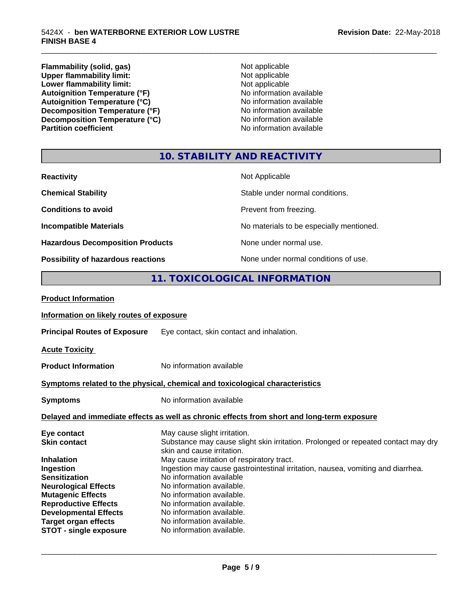**Flammability (solid, gas)** Not applicable<br>
Upper flammability limit:<br>
Not applicable **Upper flammability limit:**<br> **Lower flammability limit:**<br>
Not applicable<br>
Not applicable **Lower flammability limit:**<br> **Autoignition Temperature (°F)**<br>
Mo information available Autoignition Temperature (°F)<br>
Autoignition Temperature (°C)<br>
No information available Autoignition Temperature (°C)<br>
Decomposition Temperature (°F)<br>
No information available **Decomposition Temperature (°F)**<br> **Decomposition Temperature (°C)**<br>
No information available **Decomposition Temperature (°C)**<br>Partition coefficient

**No information available** 

\_\_\_\_\_\_\_\_\_\_\_\_\_\_\_\_\_\_\_\_\_\_\_\_\_\_\_\_\_\_\_\_\_\_\_\_\_\_\_\_\_\_\_\_\_\_\_\_\_\_\_\_\_\_\_\_\_\_\_\_\_\_\_\_\_\_\_\_\_\_\_\_\_\_\_\_\_\_\_\_\_\_\_\_\_\_\_\_\_\_\_\_\_

## **10. STABILITY AND REACTIVITY**

| <b>Reactivity</b>                       | Not Applicable                           |
|-----------------------------------------|------------------------------------------|
| <b>Chemical Stability</b>               | Stable under normal conditions.          |
| <b>Conditions to avoid</b>              | Prevent from freezing.                   |
| <b>Incompatible Materials</b>           | No materials to be especially mentioned. |
| <b>Hazardous Decomposition Products</b> | None under normal use.                   |
| Possibility of hazardous reactions      | None under normal conditions of use.     |

## **11. TOXICOLOGICAL INFORMATION**

| <b>Product Information</b>               |                                                                                                                 |  |
|------------------------------------------|-----------------------------------------------------------------------------------------------------------------|--|
| Information on likely routes of exposure |                                                                                                                 |  |
| <b>Principal Routes of Exposure</b>      | Eye contact, skin contact and inhalation.                                                                       |  |
| <b>Acute Toxicity</b>                    |                                                                                                                 |  |
| <b>Product Information</b>               | No information available                                                                                        |  |
|                                          | Symptoms related to the physical, chemical and toxicological characteristics                                    |  |
| <b>Symptoms</b>                          | No information available                                                                                        |  |
|                                          | Delayed and immediate effects as well as chronic effects from short and long-term exposure                      |  |
| Eye contact                              | May cause slight irritation.                                                                                    |  |
| <b>Skin contact</b>                      | Substance may cause slight skin irritation. Prolonged or repeated contact may dry<br>skin and cause irritation. |  |
| <b>Inhalation</b>                        | May cause irritation of respiratory tract.                                                                      |  |
| Ingestion                                | Ingestion may cause gastrointestinal irritation, nausea, vomiting and diarrhea.                                 |  |
| <b>Sensitization</b>                     | No information available                                                                                        |  |
| <b>Neurological Effects</b>              | No information available.                                                                                       |  |
| <b>Mutagenic Effects</b>                 | No information available.                                                                                       |  |
| <b>Reproductive Effects</b>              | No information available.                                                                                       |  |
| <b>Developmental Effects</b>             | No information available.                                                                                       |  |
| <b>Target organ effects</b>              | No information available.                                                                                       |  |
| <b>STOT - single exposure</b>            | No information available.                                                                                       |  |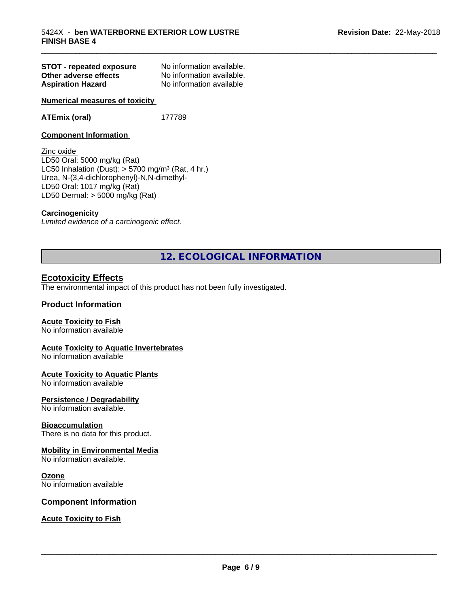| STOT - repeated exposure | No information available. |
|--------------------------|---------------------------|
| Other adverse effects    | No information available. |
| <b>Aspiration Hazard</b> | No information available  |

**Numerical measures of toxicity**

#### **ATEmix (oral)** 177789

#### **Component Information**

Zinc oxide LD50 Oral: 5000 mg/kg (Rat) LC50 Inhalation (Dust):  $> 5700$  mg/m<sup>3</sup> (Rat, 4 hr.) Urea, N-(3,4-dichlorophenyl)-N,N-dimethyl- LD50 Oral: 1017 mg/kg (Rat) LD50 Dermal: > 5000 mg/kg (Rat)

#### **Carcinogenicity**

*Limited evidence of a carcinogenic effect.*

## **12. ECOLOGICAL INFORMATION**

\_\_\_\_\_\_\_\_\_\_\_\_\_\_\_\_\_\_\_\_\_\_\_\_\_\_\_\_\_\_\_\_\_\_\_\_\_\_\_\_\_\_\_\_\_\_\_\_\_\_\_\_\_\_\_\_\_\_\_\_\_\_\_\_\_\_\_\_\_\_\_\_\_\_\_\_\_\_\_\_\_\_\_\_\_\_\_\_\_\_\_\_\_

#### **Ecotoxicity Effects**

The environmental impact of this product has not been fully investigated.

#### **Product Information**

#### **Acute Toxicity to Fish**

No information available

#### **Acute Toxicity to Aquatic Invertebrates**

No information available

#### **Acute Toxicity to Aquatic Plants**

No information available

#### **Persistence / Degradability**

No information available.

#### **Bioaccumulation**

There is no data for this product.

#### **Mobility in Environmental Media**

No information available.

#### **Ozone**

No information available

#### **Component Information**

**Acute Toxicity to Fish**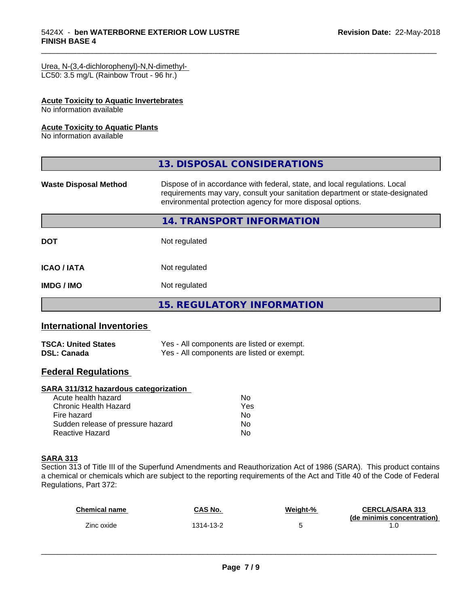#### Urea, N-(3,4-dichlorophenyl)-N,N-dimethyl-

LC50: 3.5 mg/L (Rainbow Trout - 96 hr.)

#### **Acute Toxicity to Aquatic Invertebrates**

No information available

#### **Acute Toxicity to Aquatic Plants**

No information available

|                              | 13. DISPOSAL CONSIDERATIONS                                                                                                                                                                                               |
|------------------------------|---------------------------------------------------------------------------------------------------------------------------------------------------------------------------------------------------------------------------|
| <b>Waste Disposal Method</b> | Dispose of in accordance with federal, state, and local regulations. Local<br>requirements may vary, consult your sanitation department or state-designated<br>environmental protection agency for more disposal options. |
|                              | 14. TRANSPORT INFORMATION                                                                                                                                                                                                 |
| <b>DOT</b>                   | Not regulated                                                                                                                                                                                                             |
| <b>ICAO / IATA</b>           | Not regulated                                                                                                                                                                                                             |
| <b>IMDG / IMO</b>            | Not regulated                                                                                                                                                                                                             |
|                              | <b>15. REGULATORY INFORMATION</b>                                                                                                                                                                                         |

\_\_\_\_\_\_\_\_\_\_\_\_\_\_\_\_\_\_\_\_\_\_\_\_\_\_\_\_\_\_\_\_\_\_\_\_\_\_\_\_\_\_\_\_\_\_\_\_\_\_\_\_\_\_\_\_\_\_\_\_\_\_\_\_\_\_\_\_\_\_\_\_\_\_\_\_\_\_\_\_\_\_\_\_\_\_\_\_\_\_\_\_\_

## **International Inventories**

| <b>TSCA: United States</b> | Yes - All components are listed or exempt. |
|----------------------------|--------------------------------------------|
| <b>DSL: Canada</b>         | Yes - All components are listed or exempt. |

## **Federal Regulations**

#### **SARA 311/312 hazardous categorization**

| Acute health hazard               | Nο  |  |
|-----------------------------------|-----|--|
| Chronic Health Hazard             | Yes |  |
| Fire hazard                       | Nο  |  |
| Sudden release of pressure hazard | Nο  |  |
| Reactive Hazard                   | Nο  |  |

#### **SARA 313**

Section 313 of Title III of the Superfund Amendments and Reauthorization Act of 1986 (SARA). This product contains a chemical or chemicals which are subject to the reporting requirements of the Act and Title 40 of the Code of Federal Regulations, Part 372:

| Chemical name | CAS No.  | Weight-% | <b>CERCLA/SARA 313</b><br>(de minimis concentration) |
|---------------|----------|----------|------------------------------------------------------|
| Zinc oxide    | 314-13-2 |          |                                                      |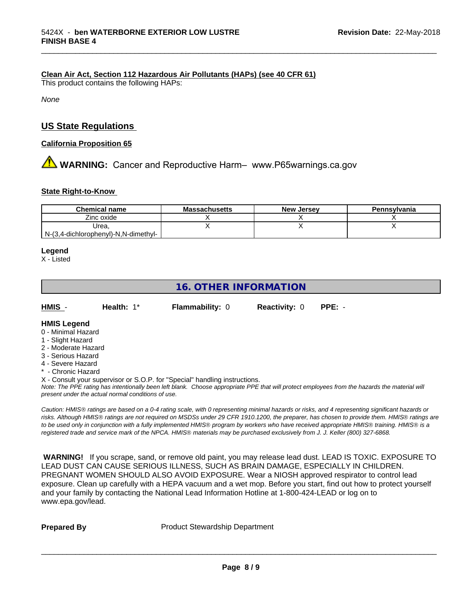#### **Clean Air Act,Section 112 Hazardous Air Pollutants (HAPs) (see 40 CFR 61)**

This product contains the following HAPs:

*None*

## **US State Regulations**

#### **California Proposition 65**

**AN** WARNING: Cancer and Reproductive Harm– www.P65warnings.ca.gov

#### **State Right-to-Know**

| <b>Chemical name</b>                 | <b>Massachusetts</b> | <b>New Jersey</b> | Pennsylvania |
|--------------------------------------|----------------------|-------------------|--------------|
| Zinc oxide                           |                      |                   |              |
| Urea.                                |                      |                   |              |
| N-(3,4-dichlorophenyl)-N,N-dimethyl- |                      |                   |              |

\_\_\_\_\_\_\_\_\_\_\_\_\_\_\_\_\_\_\_\_\_\_\_\_\_\_\_\_\_\_\_\_\_\_\_\_\_\_\_\_\_\_\_\_\_\_\_\_\_\_\_\_\_\_\_\_\_\_\_\_\_\_\_\_\_\_\_\_\_\_\_\_\_\_\_\_\_\_\_\_\_\_\_\_\_\_\_\_\_\_\_\_\_

#### **Legend**

X - Listed

## **16. OTHER INFORMATION**

| HMIS | Health: $1^*$ | <b>Flammability: 0</b> | <b>Reactivity: 0 PPE: -</b> |  |
|------|---------------|------------------------|-----------------------------|--|
|      |               |                        |                             |  |

#### **HMIS Legend**

- 0 Minimal Hazard
- 1 Slight Hazard
- 2 Moderate Hazard
- 3 Serious Hazard
- 4 Severe Hazard
- \* Chronic Hazard

X - Consult your supervisor or S.O.P. for "Special" handling instructions.

*Note: The PPE rating has intentionally been left blank. Choose appropriate PPE that will protect employees from the hazards the material will present under the actual normal conditions of use.*

*Caution: HMISÒ ratings are based on a 0-4 rating scale, with 0 representing minimal hazards or risks, and 4 representing significant hazards or risks. Although HMISÒ ratings are not required on MSDSs under 29 CFR 1910.1200, the preparer, has chosen to provide them. HMISÒ ratings are to be used only in conjunction with a fully implemented HMISÒ program by workers who have received appropriate HMISÒ training. HMISÒ is a registered trade and service mark of the NPCA. HMISÒ materials may be purchased exclusively from J. J. Keller (800) 327-6868.*

 **WARNING!** If you scrape, sand, or remove old paint, you may release lead dust. LEAD IS TOXIC. EXPOSURE TO LEAD DUST CAN CAUSE SERIOUS ILLNESS, SUCH AS BRAIN DAMAGE, ESPECIALLY IN CHILDREN. PREGNANT WOMEN SHOULD ALSO AVOID EXPOSURE.Wear a NIOSH approved respirator to control lead exposure. Clean up carefully with a HEPA vacuum and a wet mop. Before you start, find out how to protect yourself and your family by contacting the National Lead Information Hotline at 1-800-424-LEAD or log on to www.epa.gov/lead.

**Prepared By** Product Stewardship Department